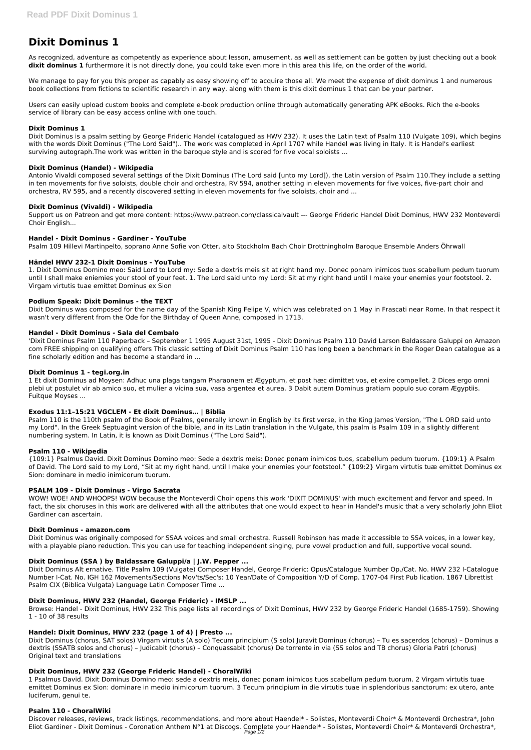As recognized, adventure as competently as experience about lesson, amusement, as well as settlement can be gotten by just checking out a book dixit dominus 1 furthermore it is not directly done, you could take even more in this area this life, on the order of the world.

# **Dixit Dominus 1**

We manage to pay for you this proper as capably as easy showing off to acquire those all. We meet the expense of dixit dominus 1 and numerous book collections from fictions to scientific research in any way. along with them is this dixit dominus 1 that can be your partner.

Users can easily upload custom books and complete e-book production online through automatically generating APK eBooks. Rich the e-books service of library can be easy access online with one touch.

# **Dixit Dominus 1**

Dixit Dominus is a psalm setting by George Frideric Handel (catalogued as HWV 232). It uses the Latin text of Psalm 110 (Vulgate 109), which begins with the words Dixit Dominus ("The Lord Said").. The work was completed in April 1707 while Handel was living in Italy. It is Handel's earliest surviving autograph.The work was written in the baroque style and is scored for five vocal soloists ...

#### **Dixit Dominus (Handel) - Wikipedia**

Antonio Vivaldi composed several settings of the Dixit Dominus (The Lord said [unto my Lord]), the Latin version of Psalm 110.They include a setting in ten movements for five soloists, double choir and orchestra, RV 594, another setting in eleven movements for five voices, five-part choir and orchestra, RV 595, and a recently discovered setting in eleven movements for five soloists, choir and ...

# **Dixit Dominus (Vivaldi) - Wikipedia**

Support us on Patreon and get more content: https://www.patreon.com/classicalvault --- George Frideric Handel Dixit Dominus, HWV 232 Monteverdi Choir English...

# **Handel - Dixit Dominus - Gardiner - YouTube**

Psalm 109 Hillevi Martinpelto, soprano Anne Sofie von Otter, alto Stockholm Bach Choir Drottningholm Baroque Ensemble Anders Öhrwall

# **Händel HWV 232-1 Dixit Dominus - YouTube**

1. Dixit Dominus Domino meo: Said Lord to Lord my: Sede a dextris meis sit at right hand my. Donec ponam inimicos tuos scabellum pedum tuorum until I shall make eniemies your stool of your feet. 1. The Lord said unto my Lord: Sit at my right hand until I make your enemies your footstool. 2. Virgam virtutis tuae emittet Dominus ex Sion

#### **Podium Speak: Dixit Dominus - the TEXT**

Dixit Dominus was composed for the name day of the Spanish King Felipe V, which was celebrated on 1 May in Frascati near Rome. In that respect it wasn't very different from the Ode for the Birthday of Queen Anne, composed in 1713.

#### **Handel - Dixit Dominus - Sala del Cembalo**

'Dixit Dominus Psalm 110 Paperback – September 1 1995 August 31st, 1995 - Dixit Dominus Psalm 110 David Larson Baldassare Galuppi on Amazon com FREE shipping on qualifying offers This classic setting of Dixit Dominus Psalm 110 has long been a benchmark in the Roger Dean catalogue as a fine scholarly edition and has become a standard in ...

#### **Dixit Dominus 1 - tegi.org.in**

Discover releases, reviews, track listings, recommendations, and more about Haendel\* - Solistes, Monteverdi Choir\* & Monteverdi Orchestra\*, John Eliot Gardiner - Dixit Dominus - Coronation Anthem N°1 at Discogs. Complete your Haendel\* - Solistes, Monteverdi Choir\* & Monteverdi Orchestra\*, Page 1/2

1 Et dixit Dominus ad Moysen: Adhuc una plaga tangam Pharaonem et Ægyptum, et post hæc dimittet vos, et exire compellet. 2 Dices ergo omni plebi ut postulet vir ab amico suo, et mulier a vicina sua, vasa argentea et aurea. 3 Dabit autem Dominus gratiam populo suo coram Ægyptiis. Fuitque Moyses ...

# **Exodus 11:1–15:21 VGCLEM - Et dixit Dominus… | Biblia**

Psalm 110 is the 110th psalm of the Book of Psalms, generally known in English by its first verse, in the King James Version, "The L ORD said unto my Lord". In the Greek Septuagint version of the bible, and in its Latin translation in the Vulgate, this psalm is Psalm 109 in a slightly different numbering system. In Latin, it is known as Dixit Dominus ("The Lord Said").

# **Psalm 110 - Wikipedia**

{109:1} Psalmus David. Dixit Dominus Domino meo: Sede a dextris meis: Donec ponam inimicos tuos, scabellum pedum tuorum. {109:1} A Psalm of David. The Lord said to my Lord, "Sit at my right hand, until I make your enemies your footstool." {109:2} Virgam virtutis tuæ emittet Dominus ex Sion: dominare in medio inimicorum tuorum.

#### **PSALM 109 - Dixit Dominus - Virgo Sacrata**

WOW! WOE! AND WHOOPS! WOW because the Monteverdi Choir opens this work 'DIXIT DOMINUS' with much excitement and fervor and speed. In fact, the six choruses in this work are delivered with all the attributes that one would expect to hear in Handel's music that a very scholarly John Eliot Gardiner can ascertain.

#### **Dixit Dominus - amazon.com**

Dixit Dominus was originally composed for SSAA voices and small orchestra. Russell Robinson has made it accessible to SSA voices, in a lower key, with a playable piano reduction. This you can use for teaching independent singing, pure vowel production and full, supportive vocal sound.

#### **Dixit Dominus (SSA ) by Baldassare Galuppi/a | J.W. Pepper ...**

Dixit Dominus Alt ernative. Title Psalm 109 (Vulgate) Composer Handel, George Frideric: Opus/Catalogue Number Op./Cat. No. HWV 232 I-Catalogue Number I-Cat. No. IGH 162 Movements/Sections Mov'ts/Sec's: 10 Year/Date of Composition Y/D of Comp. 1707-04 First Pub lication. 1867 Librettist Psalm CIX (Biblica Vulgata) Language Latin Composer Time ...

# **Dixit Dominus, HWV 232 (Handel, George Frideric) - IMSLP ...**

Browse: Handel - Dixit Dominus, HWV 232 This page lists all recordings of Dixit Dominus, HWV 232 by George Frideric Handel (1685-1759). Showing 1 - 10 of 38 results

#### **Handel: Dixit Dominus, HWV 232 (page 1 of 4) | Presto ...**

Dixit Dominus (chorus, SAT solos) Virgam virtutis (A solo) Tecum principium (S solo) Juravit Dominus (chorus) – Tu es sacerdos (chorus) – Dominus a dextris (SSATB solos and chorus) – Judicabit (chorus) – Conquassabit (chorus) De torrente in via (SS solos and TB chorus) Gloria Patri (chorus) Original text and translations

#### **Dixit Dominus, HWV 232 (George Frideric Handel) - ChoralWiki**

1 Psalmus David. Dixit Dominus Domino meo: sede a dextris meis, donec ponam inimicos tuos scabellum pedum tuorum. 2 Virgam virtutis tuae emittet Dominus ex Sion: dominare in medio inimicorum tuorum. 3 Tecum principium in die virtutis tuae in splendoribus sanctorum: ex utero, ante luciferum, genui te.

#### **Psalm 110 - ChoralWiki**